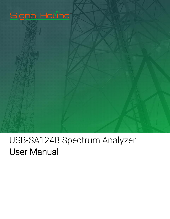# Signal Hound®

# USB-SA124B Spectrum Analyzer User Manual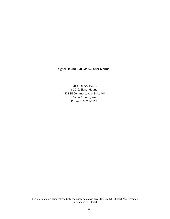#### **Signal Hound USB-SA124B User Manual**

Published 6/24/2019 2019, Signal Hound 1502 SE Commerce Ave, Suite 101 Battle Ground, WA Phone 360-217-0112

This information is being released into the public domain in accordance with the Export Administration Regulations 15 CFR 734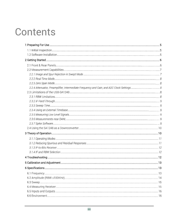# Contents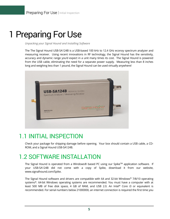# <span id="page-4-0"></span>1 Preparing For Use

*Unpacking your Signal Hound and Installing Software*

The The Signal Hound USB-SA124B is a USB-based 100 kHz to 12.4 GHz econoy spectrum analyzer and measuring receiver. Using recent innovations in RF technology, the Signal Hound has the sensitivity, accuracy and dynamic range you'd expect in a unit many times its cost. The Signal Hound is powered from the USB cable, eliminating the need for a separate power supply. Measuring less than 8 inches long and weighing less than 1 pound, the Signal Hound can be used virtually anywhere!



# 1.1 INITIAL INSPECTION

Check your package for shipping damage before opening. Your box should contain a USB cable, a CD-ROM, and a Signal Hound USB-SA124B.

# 1.2 SOFTWARE INSTALLATION

The Signal Hound is operated from a Windows® based PC using our Spike™ application software. If your USB-SA124B did not come with a copy of Spike, download it from our website, www.signalhound.com/Spike.

The Signal Hound software and drivers are compatible with 64 and 32-bit Windows® 7/8/10 operating systems\*. 64-bit Windows operating systems are recommended. You must have a computer with at least 500 MB of free disk space, 4 GB of RAM, and USB 2.0. An Intel® Core i3 or equivalent is recommended. For serial numbers below 21000000, an internet connection is required the first time you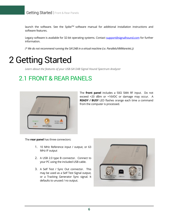launch the software. See the Spike<sup>TM</sup> software manual for additional installation instructions and software features.

Legacy software is available for 32-bit operating systems. Contact [support@signalhound.com](mailto:support@signalhound.com) for further information.

*(\* We do not recommend running the SA124B in a virtual machine (i.e. Parallels/VMWare/etc.))*

# <span id="page-5-0"></span>2 Getting Started

*Learn about the features of your USB-SA124B Signal Hound Spectrum Analyzer* 

# 2.1 FRONT & REAR PANELS



The **front panel** includes a 50Ω SMA RF input. Do not exceed +20 dBm or +16VDC or damage may occur. A **READY / BUSY** LED flashes orange each time a command from the computer is processed.

The **rear panel** has three connectors:

- 1. 10 MHz Reference input / output, or 63 MHz IF output
- 2. A USB 2.0 type B connector. Connect to your PC using the included USB cable.
- 3. A Self Test / Sync Out connector. This may be used as a Self Test Signal output, or a Tracking Generator Sync signal. It defaults to unused / no output.

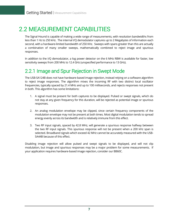# 2.2 MEASUREMENT CAPABILITIES

The Signal Hound is capable of making a wide range of measurements, with resolution bandwidths from less than 1 Hz to 250 kHz. The internal I/Q demodulator captures up to 2 Megabytes of information each second, with a hardware-limited bandwidth of 250 KHz. Sweeps with spans greater than this are actually a combination of many smaller sweeps, mathematically combined to reject image and spurious responses.

In addition to the I/Q demodulator, a log power detector on the 6 MHz RBW is available for faster, low sensitivity sweeps from 200 MHz to 12.4 GHz (unspecified performance to 13 GHz).

### 2.2.1 Image and Spur Rejection in Swept Mode

The USB-SA124B does not have hardware-based image rejection, instead relying on a software algorithm to reject image responses. The algorithm mixes the incoming RF with two distinct local oscillator frequencies, typically spaced by 21.4 MHz and up to 100 milliseconds, and rejects responses not present in both. This algorithm has some limitations:

- 1. A signal must be present for both captures to be displayed. Pulsed or swept signals, which do not stay at any given frequency for this duration, will be rejected as potential image or spurious responses.
- 2. An analog modulation envelope may be clipped, since certain frequency components of the modulation envelope may not be present at both times. Most digital modulation tends to spread energy evenly across its bandwidth and is relatively immune from this effect.
- 3. Two RF input signals, spaced by 42.8 MHz, will generate a spurious response halfway between the two RF input signals. This spurious response will not be present when a 200 kHz span is selected. Broadband signals which exceed 42 MHz cannot be accurately measured with the USB-SA44B because of this effect.

Disabling image rejection will allow pulsed and swept signals to be displayed, and will not clip modulation, but image and spurious responses may be a major problem for some measurements. If your application requires hardware-based image rejection, consider our BB60C.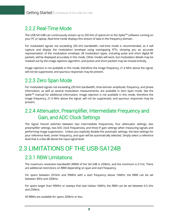### 2.2.2 Real-Time Mode

The USB-SA124B can continuously stream up to 250 kHz of spectrum to the Spike™ software running on your PC or laptop. Real-time mode displays this stream of data in the frequency domain.

For modulated signals not exceeding 250 kHz bandwidth, real-time mode is recommended, as it will capture and display the modulation envelope using overlapping FFTs, showing you an accurate representation of the modulation envelope. All modulation types, including pulse and short digital RF packets, will be displayed accurately in this mode. Other modes will work, but modulation details may be masked out by the image rejection algorithm, and pulses and short packets may be missed entirely.

Image rejection is not available in this mode, therefore the image frequency, 21.4 MHz above the signal, will not be suppressed, and spurious responses may be present.

## 2.2.3 Zero Span Mode

For modulated signals not exceeding 250 kHz bandwidth, time-domain amplitude, frequency, and phase information, as well as several modulation measurements, are available in Zero Span mode. See the Spike<sup>TM</sup> manual for additional information. Image rejection is not available in this mode, therefore the image frequency, 21.4 MHz above the signal, will not be suppressed, and spurious responses may be present.

### 2.2.4 Attenuator, Preamplifier, Intermediate Frequency and Gain, and ADC Clock Settings

The Signal Hound switches between two intermediate frequencies, four attenuator settings, two preamplifier settings, two ADC clock frequencies, and three IF gain settings when measuring signals and performing image suppression. Unless you explicitly disable the automatic settings, the best settings for your reference level, center frequency, and span will be automatically selected. Simply select a reference level that is a few dB above the input signal level.

# 2.3 LIMITATIONS OF THE USB-SA124B

### 2.3.1 RBW Limitations

The maximum resolution bandwidth (RBW) of the SA124B is 250kHz, and the minimum is 0.1Hz. There are additional restrictions on RBW depending on span and start frequency.

For spans between 201kHz and 99MHz with a start frequency above 16MHz, the RBW can be set between 30Hz and 250kHz.

For spans larger than 99MHz or sweeps that start below 16MHz, the RBW can be set between 6.5 kHz and 250kHz.

All RBWs are available for spans 200kHz or less.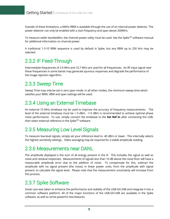Outside of these limitations, a 6MHz RBW is available through the use of an internal power detector. The power detector can only be enabled with a start frequency and span above 200MHz.

To measure wider bandwidths, the channel power utility must be used. See the Spike<sup>TM</sup> software manual for additional information on channel power.

A traditional 1-3-10 RBW sequence is used by default in Spike, but any RBW up to 250 kHz may be selected.

## 2.3.2 IF Feed-Through

Intermediate frequencies of 2.9 MHz and 10.7 MHz are used for all frequencies. An RF input signal near these frequencies in some bands may generate spurious responses and degrade the performance of the image rejection algorithm.

### 2.3.3 Sweep Time

Sweep Time may only be set in zero span mode. In all other modes, the minimum sweep time which satisfies your RBW, VBW and span settings will be used.

### 2.3.4 Using an External Timebase

An external 10 MHz timebase my be used to improve the accuracy of frequency measurements. The level of the external timebase must be > 0 dBm. +13 dBm is recommended to achieve optimal phase noise performance. To use, simply connect the timebase to the **Ext Ref In** after connecting the USB, then select external reference in the Spike™ software.

### 2.3.5 Measuring Low Level Signals

To measure low-level signals, simply set your reference level to -40 dBm or lower. This internally selects the highest sensitivity settings. Video averaging may be required for a stable amplitude reading.

### 2.3.6 Measurements near DANL

The amplitude displayed is the sum of all energy present in the IF. This includes the signal as well as noise and residual responses. Measurements of signals less than 10 dB above the noise floor will have a measurable amplitude error due to the addition of noise. To compensate for this, subtract the amplitude with no signal present (the noise), in linear power units, from the amplitude with signal present, to calculate the signal level. Please note that the measurement uncertainty will increase from this process.

## 2.3.7 Spike Software

Great care was taken to enhance the performance and stability of the USB-SA124B and integrate it into a common software platform. All of the major functions of the USB-SA124B are available in the Spike software, as well as some powerful new features.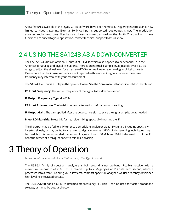A few features available in the legacy 2.18B software have been removed. Triggering in zero span is now limited to video triggering. External 10 MHz input is supported, but output is not. The modulation analyzer audio band pass filter has also been removed, as well as the Smith Chart utility. If these functions are critical to your application, contact technical support to let us know.

# 2.4 USING THE SA124B AS A DOWNCONVERTER

The USB-SA124B has on optional IF output of 63 MHz, which also happens to be "channel 3" in the Americas for analog and digital TV stations. There is an internal IF amplifier, adjustable over a 60 dB range to adjust the signal level for an external TV tuner, oscilloscope, or analog to digital converter. Please note that the image frequency is not rejected in this mode. A signal at or near the image frequency may interfere with your measurement.

The SA124 IF output is a utility in the Spike software. See the Spike manual for additional documentation.

**RF Input Frequency**: The center frequency of the signal to be downconverted

**IF Output Frequency**: Typically 63 MHz

**RF Input Attenuation**: The initial front-end attenuation before downconverting

**IF Output Gain**: The gain applied after the downconversion to scale the signal amplitude as needed

**Inject LO high-side**: Select this for high side mixing, spectrally inverting the IF.

The IF output may be fed to a TV tuner to demodulate analog or digital TV signals, including spectrally inverted signals, or may be fed to an analog to digital converter (ADC). Undersampling techniques may be used, but it is recommended that a sampling rate close to 50 MHz (or 80 MHz) be used to put the IF near the center of a "Nyquist zone" to minimize aliasing.

# <span id="page-9-0"></span>3 Theory of Operation

*Learn about the internal blocks that make up the Signal Hound* 

The USB-SA family of spectrum analyzers is built around a narrow-band IF-to-bits receiver with a maximum bandwidth of 250 KHz. It receives up to 2 Megabytes of I/Q data each second, which it processes into a trace. To bring you a low cost, compact spectrum analyzer, we used recently developed high-level RF integrated circuits.

The USB-SA124B adds a 63 MHz intermediate frequency (IF). This IF can be used for faster broadband sweeps, or it may be output directly.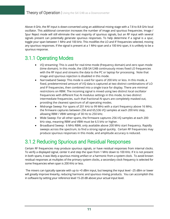Above 4 GHz, the RF input is down-converted using an additional mixing stage with a 7.8 to 8.8 GHz local oscillator. This additional conversion increases the number of image and spurious frequencies. Image / Spur Reject mode will still eliminate the vast majority of spurious signals, but an RF input with several signals present can potentially generate spurious responses. To help determine if a signal is a spur, toggle your span between 1 MHz and 100 kHz. This modifies the LO and IF frequencies selected, moving any spurious responses. If the signal is present at a 1 MHz span and a 100 kHz span, it is unlikely to be a spurious response.

## 3.1.1 Operating Modes

- I/Q streaming: This is used for real-time mode (frequency domain) and zero span mode (time domain). In this mode, the USB-SA124B continuously mixes fixed LO frequencies with the RF input and streams the data to the PC or laptop for processing. Note that image and spurious rejection is disabled in this mode.
- Narrowband Sweep: This mode is used for spans of 200 kHz or less. In this mode, a fixed, predetermined amount of I/Q data is captured at two distinct combinations of LO and IF frequencies, then combined into a single trace for display. There are minimal restrictions on RBW. The incoming signal is mixed using two distinct local oscillator frequencies with different frac-N modulus settings in this mode, to two distinct intermediate frequencies, such that fractional-N spurs are completely masked out, providing the cleanest spectrum of all operating modes.
- Midrange Sweep: For spans of 201 kHz to 99 MHz with a start frequency above 16 MHz, the firmware captures between 256 and 65,536 I/Q samples at each 200 kHz step, allowing RBW / VBW settings of 30 Hz to 250 kHz.
- Wide Sweep: For all other spans, the firmware captures 256 I/Q samples at each 200 kHz step, meaning RBW and VBW must be 6.5 kHz or higher.
- Broadband Sweep: 6 MHz RBW, only available above 200 MHz start frequency. Rapidly sweeps across the spectrum, to find a strong signal quickly. Certain RF frequencies may produce spurious responses in this mode, and amplitude accuracy is reduced.

## 3.1.2 Reducing Spurious and Residual Responses

Certain RF frequencies may produce spurious signals, or have residual responses from internal clocks. To verify a displayed signal, center it and step the span from 1 MHz down to 100 KHz. If it is not present in both spans, it was likely a spurious mixing artifact or a harmonic from a system clock. To avoid known residual responses at multiples of the primary system clocks, a secondary clock frequency is selected for some frequencies when span is 200 KHz or less.

The mixers can typically operate with up to +0 dBm input, but keeping the input level –25 dBm or lower will greatly improve linearity, reducing harmonic and spurious mixing products. You can accomplish this in software by setting your reference level 15-20 dB above your actual input level.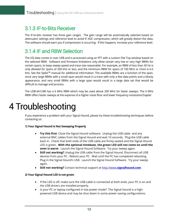### 3.1.3 IF-to-Bits Receiver

The IF-to-bits receiver has three gain ranges. The gain range will be automatically selected based on attenuator settings and reference level to avoid IF ADC compression, which will greatly distort the data. The software should warn you if compression is occurring. If this happens, increase your reference level.

### 3.1.4 IF and RBW Selection

The I/Q data comes in over USB and is processed using an FFT with a custom Flat Top window based on the selected RBW. Software and firmware limitations only allow certain very low or very high RBWs for certain spans, to keep sweep speed and trace size reasonable. For example, an RBW of less than 30 Hz is only allowed for spans of 200 kHz or less, and the minimum RBW for spans of 100 MHz or more is 6.5 kHz. See the Spike™ manual for additional information. The available RBWs are a function of the span, since very large RBWs with a small span would result in a trace with only a few data points and a blocky appearance, and very small RBWs with a large span would result in a large data set that would be difficult to manage and process.

The USB-SA124B has a 6 MHz RBW which may be used above 200 MHz for faster sweeps. The 6 MHz RBW offers faster sweeps at the expense of a higher noise floor and lower frequency resolutionChapter

# <span id="page-11-0"></span>4 Troubleshooting

If you experience a problem with your Signal Hound, please try these troubleshooting techniques before contacting us:

#### **1) Your Signal Hound Is Not Sweeping Properly**

- **Try this first**: Close the Signal Hound software. Unplug the USB cable and any external BNC cables from the Signal Hound and wait 10 seconds. Plug the USB cable back in. Check that both ends of the USB cable are firmly seated and the Signal Hound LED is green. **With the optional timebase, the green LED will not come on until the oven is warm**. Launch the Signal Hound Software. Try your sweep again.
- **Still not working?** Unplug the USB cable from the Signal Hound. Disconnect all USB devices from your PC. Reboot your PC. Wait until the PC has completed rebooting. Plug in the Signal Hound's USB. Launch the Signal Hound Software. Try your sweep again.
- **Still not working?** Contact technical support at http://www.**[signalhound.com](http://www.signalhound.com/)**

#### **2) Your Signal Hound LED is not green**

- If the LED is off, make sure the USB cable is connected at both ends, your PC is on and the USB drivers are installed properly.
- Is your PC or laptop configured in low power mode? The Signal Hound is a highpowered USB device and may be shut down in some power-saving configurations.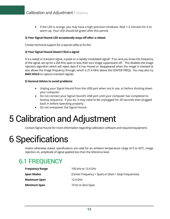• If the LED is orange, you may have a high precision timebase. Wait 1-2 minutes for it to warm up. Your LED should be green after this period.

#### **3) Your Signal Hound LED occasionally stays off after a reboot**

Contact technical support for a special utility to fix this

#### **4) Your Signal Hound doesn't find a signal**

Is it a swept or transient signal, a pulse or a rapidly modulated signal? If so, and you know the frequency of the signal, set up for a 200 KHz span or less, then turn image suppression off. This disables the image rejection algorithm which will reject data if it has moved or disappeared when the image is checked (it also allows the image frequency through, which is 21.4 MHz above the CENTER FREQ). You may also try **MAX HOLD** to capture transient signals.

#### **5) General Advice to avoid problems**

- Unplug your Signal Hound from the USB port when not in use, or before shutting down your computer.
- Do not connect your Signal Hound's USB port until your computer has completed its bootup sequence. If you do, it may need to be unplugged for 20 seconds then plugged back in before operating properly.
- Do not overpower the Signal Hound.

# <span id="page-12-0"></span>5 Calibration and Adjustment

Contact Signal Hound for more information regarding calibration software and required equipment.

# <span id="page-12-1"></span>6 Specifications

Unless otherwise stated, specifications are valid for an ambient temperature range of 0 to 50°C, image rejection on, amplitude of signal applied less than the reference level.

# 6.1 FREQUENCY

| <b>Frequency Range</b> | 100 kHz to 12.4 GHz                                     |
|------------------------|---------------------------------------------------------|
| Span Modes             | (Center Frequency + Span) or (Start + Stop Frequencies) |
| <b>Maximum Span</b>    | 12.4 GHz                                                |
| <b>Minimum Span</b>    | 10 Hz or Zero Span                                      |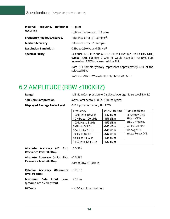| <b>Internal Frequency Reference</b> $\pm 1$ ppm |                                                                                                                                                                          |
|-------------------------------------------------|--------------------------------------------------------------------------------------------------------------------------------------------------------------------------|
| <b>Accuracy</b>                                 | Optional Reference: ±0.1 ppm                                                                                                                                             |
| <b>Frequency Readout Accuracy</b>               | reference error $\pm 1$ sample $(1)$                                                                                                                                     |
| <b>Marker Accuracy</b>                          | reference error $\pm 1$ sample                                                                                                                                           |
| <b>Resolution Bandwidth</b>                     | $0.1$ Hz to 250KHz and 6MHz <sup>(2)</sup>                                                                                                                               |
| <b>Spectral Purity</b>                          | Residual FM, 3 kHz Audio LPF, 15 kHz IF BW: [0.1 Hz + 4 Hz / GHz]<br>typical RMS FM (e.g. 2 GHz RF would have 8.1 Hz RMS FM).<br>Increasing IF BW increases residual FM. |
|                                                 | <i>Note 1</i> : 1 sample typically represents approximately 40% of the<br>selected RBW                                                                                   |

*Note 2*: 6 MHz RBW available only above 200 MHz

# 6.2 AMPLITUDE (RBW ≤100KHZ)

| Range                                                                            | 1dB Gain Compression to Displayed Average Noise Level (DANL) |                      |                        |
|----------------------------------------------------------------------------------|--------------------------------------------------------------|----------------------|------------------------|
| <b>1dB Gain Compression</b>                                                      | (attenuator set to 30 dB): >12dBm Typical                    |                      |                        |
| <b>Displayed Average Noise Level</b>                                             | 0dB input attenuation, 1Hz RBW                               |                      |                        |
|                                                                                  | Frequency                                                    | <b>DANL 1 Hz RBW</b> | <b>Test Conditions</b> |
|                                                                                  | 100 kHz to 10 MHz                                            | $-147$ dBm           | $RF$ Atten = 0 dB      |
|                                                                                  | 10 MHz to 100 MHz                                            | $-151$ dBm           | $RBW = VBW$            |
|                                                                                  | 100 MHz to 3 GHz                                             | $-152$ dBm           | $RBW \leq 100$ KHz     |
|                                                                                  | 3 GHz to 5.5 GHz                                             | $-145$ dBm           | Ref Lvl -70 dBm        |
|                                                                                  | 5.5 GHz to 7 GHz                                             | $-149$ dBm           | Vid Avg = $16$         |
|                                                                                  | 7 GHz to 8 GHz                                               | $-147$ dBm           | Image Reject ON        |
|                                                                                  | 8 GHz to 11 GHz                                              | $-134$ dBm           |                        |
|                                                                                  | 11 GHz to 12.4 GHz                                           | $-129$ dBm           |                        |
| Absolute Accuracy (<6 GHz, $\pm$ 1.5dB <sup>(1)</sup><br>Reference level ≤0 dBm) |                                                              |                      |                        |
| Absolute Accuracy (<12.4 GHz, $\pm 2.5 dB^{(1)}$                                 |                                                              |                      |                        |
| Reference level ≤0 dBm)                                                          | Note 1: RBW $\leq$ 100 kHz                                   |                      |                        |
| <b>Relative Accuracy (Reference</b> ±0.25 dB<br>level ≤0 dBm):                   |                                                              |                      |                        |
| Maximum Safe Input<br>(preamp off, 15 dB atten)                                  | <b>Level</b> +20dBm                                          |                      |                        |
| <b>DC Volts</b>                                                                  | $\leq \pm 16V$ absolute maximum                              |                      |                        |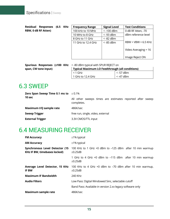|                            | Residual Responses (6.5 KHz |  |
|----------------------------|-----------------------------|--|
| <b>RBW, 0 dB RF Atten)</b> |                             |  |

| <b>Frequency Range</b> | <b>Signal Level</b> | <b>Test Conditions</b> |
|------------------------|---------------------|------------------------|
| 100 kHz to 10 MHz      | $<$ -100 dBm        | 0 dB RF Atten, -70     |
| 10 MHz to 8 GHz        | $<$ -93 dBm         | dBm reference level    |
| 8 GHz to 11 GHz        | $<$ -82 dBm         |                        |
| 11 GHz to 12.4 GHz     | $<$ -85 dBm         | $RBW = VBW = 6.5 KHz$  |
|                        |                     |                        |
|                        |                     | Video Averaging = 16   |
|                        |                     |                        |
|                        |                     | Image Reject ON        |

|                      | Spurious Responses (≤100 KHz |  | $\prec$ |
|----------------------|------------------------------|--|---------|
| span, CW tone input) |                              |  |         |

| < -80 dBm typical with SPUR REJECT on                  |               |  |
|--------------------------------------------------------|---------------|--|
| <b>Typical Maximum LO Feedthrough (all conditions)</b> |               |  |
| $<$ 1 GHz                                              | $<$ -57 dBm   |  |
| 1 GHz to 12.4 GHz                                      | $\le$ -47 dBm |  |

## 6.3 SWEEP

| <b>Zero Span Sweep Time 0.1 ms to</b> $\pm 0.1\%$<br>10 sec |                                                                         |
|-------------------------------------------------------------|-------------------------------------------------------------------------|
|                                                             | All other sweeps times are estimates reported after sweep<br>completes. |
| Maximum I/Q sample rate                                     | 486K/sec                                                                |
| <b>Sweep Trigger</b>                                        | free run, single, video, external                                       |
| <b>External Trigger</b>                                     | 3.3V CMOS/TTL input                                                     |

# 6.4 MEASURING RECEIVER

| <b>FM Accuracy</b>                                                    | $±1\%$ typical                                                           |
|-----------------------------------------------------------------------|--------------------------------------------------------------------------|
| <b>AM Accuracy</b>                                                    | $±1\%$ typical                                                           |
| Synchronous Level Detector (15<br><b>KHz IF BW, timebases locked)</b> | 100 KHz to 1 GHz +0 dBm to -125 dBm after 10 min warmup<br>$\pm 0.25$ dB |
|                                                                       | 1 GHz to 4 GHz +0 dBm to -115 dBm after 10 min warmup<br>$\pm 0.25$ dB   |
| Average Level Detector, 15 KHz<br><b>IF BW</b>                        | 100 KHz to 4 GHz +0 dBm to -70 dBm after 10 min warmup,<br>$\pm 0.25$ dB |
| <b>Maximum IF Bandwidth</b>                                           | 240 KHz                                                                  |
| <b>Audio Filters</b>                                                  | Low Pass: Digital Windowed Sinc, selectable cutoff                       |
|                                                                       | Band Pass: Available in version 2.xx legacy software only                |
| <b>Maximum sample rate</b>                                            | 486K/sec                                                                 |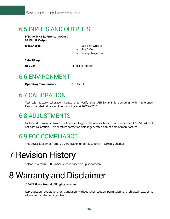# 6.5 INPUTS AND OUTPUTS

**BNC 10 MHz Reference In/Out / 63 MHz IF Output**

- **BNC Shared •** Self Test Output
	- SYNC Out
	- Sweep Trigger In

**SMA RF Input**

**USB 2.0** to host computer

## 6.6 ENVIRONMENT

**Operating Temperature** 0 to +50 °C

# 6.7 CALIBRATION

Test with factory calibration software to verify that USB-SA124B is operating within tolerance. Recommended calibration interval is 1 year at 20°C to 25°C.

# 6.8 ADJUSTMENTS

Factory adjustment software shall be used to generate new calibration constants when USB-SA124B will not pass calibration. Temperature correction data is generated only at time of manufacture.

# 6.9 FCC COMPLIANCE

This device is exempt from FCC Certification under 47 CFR Part 15.103(c). Chapter

# <span id="page-15-0"></span>7 Revision History

Software Version 3.00 – Initial Release based on Spike software

# <span id="page-15-1"></span>8 Warranty and Disclaimer

#### **© 2017 Signal Hound. All rights reserved**

Reproduction, adaptation, or translation without prior written permission is prohibited, except as allowed under the copyright laws.